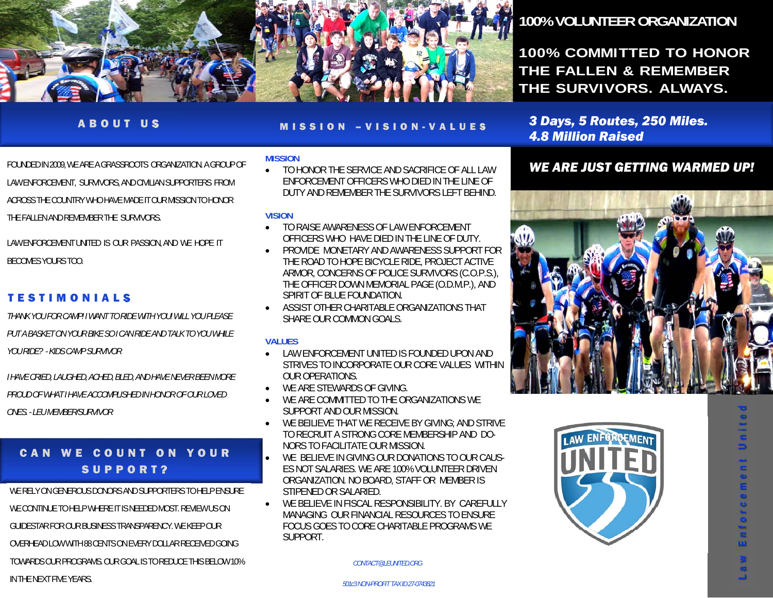

#### ABOUT US

MISSION –VISION-VALUES

FOUNDED IN 2009, WE ARE A GRASSROOTS ORGANIZATION. A GROUP OF LAW ENFORCEMENT, SURVIVORS, AND CIVILIAN SUPPORTERS FROM ACROSS THE COUNTRY WHO HAVE MADE IT OUR MISSION TO HONOR THE FALLEN AND REMEMBER THE SURVIVORS.

LAW ENFORCEMENT UNITED IS OUR PASSION, AND WE HOPE IT BECOMES YOURS TOO.

### TESTIMONIALS

*THANK YOU FOR CAMP! I WANT TO RIDE WITH YOU! WILL YOU PLEASE PUT A BASKET ON YOUR BIKE SO I CAN RIDE AND TALK TO YOU WHILE YOU RIDE? - KIDS CAMP SURVIVOR* 

*I HAVE CRIED, LAUGHED, ACHED, BLED, AND HAVE NEVER BEEN MORE PROUD OF WHAT I HAVE ACCOMPLISHED IN HONOR OF OUR LOVED ONES. - LEU MEMBER/SURVIVOR* 

### CAN WE COUNT ON YOUR SUPPORT?

WE RELY ON GENEROUS DONORS AND SUPPORTERS TO HELP ENSURE

WE CONTINUE TO HELP WHERE IT IS NEEDED MOST. REVIEW US ON

GUIDESTAR FOR OUR BUSINESS TRANSPARENCY. WE KEEP OUR

OVERHEAD LOW WITH 88 CENTS ON EVERY DOLLAR RECEIVED GOING

TOWARDS OUR PROGRAMS. OUR GOAL IS TO REDUCE THIS BELOW 10%

IN THE NEXT FIVE YEARS. *501c3 NON-PROFIT TAX ID 27-0743821* 

#### **MISSION**

 TO HONOR THE SERVICE AND SACRIFICE OF ALL LAW ENFORCEMENT OFFICERS WHO DIED IN THE LINE OF DUTY AND REMEMBER THE SURVIVORS LEFT BEHIND.

#### **VISION**

- $\bullet$  TO RAISE AWARENESS OF LAW ENFORCEMENT OFFICERS WHO HAVE DIED IN THE LINE OF DUTY.
- $\bullet$  PROVIDE MONETARY AND AWARENESS SUPPORT FOR THE ROAD TO HOPE BICYCLE RIDE, PROJECT ACTIVE ARMOR, CONCERNS OF POLICE SURVIVORS (C.O.P.S.), THE OFFICER DOWN MEMORIAL PAGE (O.D.M.P.), AND SPIRIT OF BLUE FOUNDATION.
- ASSIST OTHER CHARITABLE ORGANIZATIONS THAT SHARE OUR COMMON GOALS.

#### **VALUES**

- LAW ENFORCEMENT UNITED IS FOUNDED UPON AND STRIVES TO INCORPORATE OUR CORE VALUES WITHIN OUR OPERATIONS.
- $\bullet$ WE ARE STEWARDS OF GIVING.
- $\bullet$  WE ARE COMMITTED TO THE ORGANIZATIONS WE SUPPORT AND OUR MISSION.
- $\bullet$  WE BEILIEVE THAT WE RECEIVE BY GIVING; AND STRIVE TO RECRUIT A STRONG CORE MEMBERSHIP AND DO-NORS TO FACILITATE OUR MISSION.
- $\bullet$  WE BELIEVE IN GIVING OUR DONATIONS TO OUR CAUS-ES NOT SALARIES. WE ARE 100% VOLUNTEER DRIVEN ORGANIZATION. NO BOARD, STAFF OR MEMBER IS STIPENED OR SALARIED.
- $\bullet$  WE BELIEVE IN FISCAL RESPONSIBILITY. BY CAREFULLY MANAGING OUR FINANCIAL RESOURCES TO ENSURE FOCUS GOES TO CORE CHARITABLE PROGRAMS WE **SUPPORT**

*CONTACT@LEUNITED.ORG* 

# **100% VOLUNTEER ORGANIZATION**

**100% COMMITTED TO HONOR THE FALLEN & REMEMBER THE SURVIVORS. ALWAYS.**

*3 Days, 5 Routes, 250 Miles. 4.8 Million Raised* 

### *WE ARE JUST GETTING WARMED UP!*